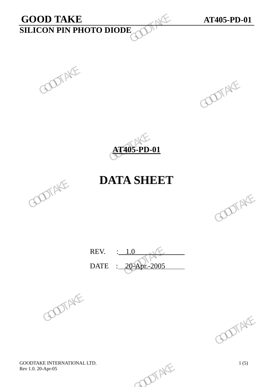# **GOOD TAKE AT405-PD-01**<br>**SILICON PIN PHOTO DIODE SILICON PIN PHOTO DIODE**  GOOD TAKE<br>SILICON PIN PHOTO DIODE





## **DATA SHEET**



REV. : 1.0 DATE : 20-Apr.-2005 REV.  $\frac{1.0}{20-2005}$  GOOTAKE



GOODTAKE INTERNATIONAL LTD.<br>
Rev 1.0. 20-Apr-05 1(5) Rev 1.0. 20-Apr-05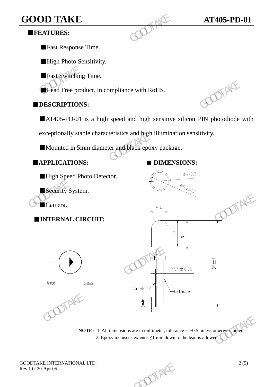## **GOOD TAKE AT405-PD-01 <b>AT405-PD-01**

## ■**FEATURES:**

■Fast Response Time.

**High Photo Sensitivity.** 

■Fast Switching Time.

**ELead Free product, in compliance with RoHS.** 

### ■**DESCRIPTIONS:**

■AT405-PD-01 is a high speed and high sensitive silicon PIN photodiode with

exceptionally stable characteristics and high illumination sensitivity. GOOD TAKE<br>
FEATURES:<br>
Fast Response Time.<br>
High Photo Sensitivity.<br>
Fast Switching Time.<br>
Lead Free product, in compliance with RoHS.<br>
DESCRIPTIONS:<br>
AT405-PD-01 is a high speed and high sensitive<br>
exceptionally stable cha

■Mounted in 5mm diameter and black epoxy package.

■**APPLICATIONS: ■ DIMENSIONS:**



**NOTE:** 1. All dimensions are in millimeter, tolerance is  $\pm 0.5$  unless otherwise noted. 2. Epoxy meniscus extends  $\leq 1$  mm down to the lead is allowed.

GOODTAKE INTERNATIONAL LTD.  $2(5)$ <br>Rev 1.0. 20-Apr-05 Rev 1.0. 20-Apr-05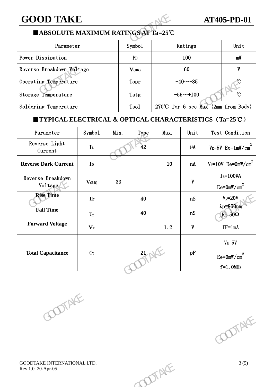## ■**ABSOLUTE MAXIMUM RATINGS AT Ta=25**℃

| <b>GOOD TAKE</b>                                                           |        |                |                                  |                                       |      | <b>AT405-PD-01</b>                |      |
|----------------------------------------------------------------------------|--------|----------------|----------------------------------|---------------------------------------|------|-----------------------------------|------|
| ■ABSOLUTE MAXIMUM RATINGS AT Ta=25℃                                        |        |                |                                  |                                       |      |                                   |      |
| Parameter                                                                  |        |                | Symbo1                           | Ratings                               |      |                                   | Unit |
| Power Dissipation                                                          |        | P <sub>D</sub> | 100                              |                                       |      | mW                                |      |
| Reverse Breakdown Voltage                                                  |        | $V_{(BR)}$     | 60                               |                                       |      | V                                 |      |
| Operating Temperature                                                      |        |                | Topr                             | $-40$ ~+85                            |      |                                   |      |
| Storage Temperature                                                        |        | Tstg           | $\mathcal{C}$<br>$-55 \sim +100$ |                                       |      |                                   |      |
| Soldering Temperature                                                      |        |                | Tso1                             | 270°C for 6 sec Max $(2mm from Body)$ |      |                                   |      |
| <b>TYPICAL ELECTRICAL &amp; OPTICAL CHARACTERISTICS</b> $(Ta=25^{\circ}C)$ |        |                |                                  |                                       |      |                                   |      |
| Parameter                                                                  | Symbol | Min.           | Type                             | Max.                                  | Unit | Test Condition                    |      |
| Reverse Light<br>$C_{11}$ and $\sim$ +                                     | IL     |                | 42                               |                                       | μA   | $V_R = 5V$ Ee=1mW/cm <sup>2</sup> |      |

## ■**TYPICAL ELECTRICAL & OPTICAL CHARACTERISTICS**(**Ta=25**℃)

| Operating Temperature                                             |                |      | Topr |                                  | $-40$ ~+85                |                                          |
|-------------------------------------------------------------------|----------------|------|------|----------------------------------|---------------------------|------------------------------------------|
| Storage Temperature                                               |                |      | Tstg | $\mathcal{C}$<br>-55 $\sim$ +100 |                           |                                          |
| Soldering Temperature                                             |                |      | Tsol |                                  |                           | 270℃ for 6 sec Max (2mm from Body)       |
| <b>TYPICAL ELECTRICAL &amp; OPTICAL CHARACTERISTICS (Ta=25°C)</b> |                |      |      |                                  |                           |                                          |
| Parameter                                                         | Symbol         | Min. | Type | Max.                             | Unit                      | Test Condition                           |
| Reverse Light<br>Current                                          | $\mathbf{I}$   |      | 42   |                                  | $\mu$ A                   | $V_R = 5V$ Ee=1mW/cm <sup>2</sup>        |
| <b>Reverse Dark Current</b>                                       | I <sub>D</sub> |      |      | 10                               | nA                        | $V_R = 10V$ Ee=OmW/cm <sup>2</sup>       |
| Reverse Breakdown<br>Voltage                                      | $V_{(BR)}$     | 33   |      |                                  | $\boldsymbol{\mathrm{V}}$ | $I_R = 100\mu A$<br>$Ee = 0mW/cm2$       |
| <b>Rise Time</b>                                                  | <b>Tr</b>      |      | 40   |                                  | ${\tt nS}$                | $V_R = 20V$                              |
| <b>Fall Time</b>                                                  | $T_f$          |      | 40   |                                  | nS                        | $\lambda p = 850$ nm<br>$R_L = 50\Omega$ |
| <b>Forward Voltage</b>                                            | $V_{\rm F}$    |      |      | 1.2                              | $\boldsymbol{\mathrm{V}}$ | $IF=1mA$                                 |
|                                                                   |                |      |      |                                  |                           | $V_R = 5V$                               |
| <b>Total Capacitance</b>                                          | $C_{T}$        |      | 21   |                                  | pF                        | $\mathrm{Ee}\text{=}0\mathrm{mW/cm}^2$   |
|                                                                   |                |      |      |                                  |                           | $f=1.0$ MHz                              |
| POOTAKE                                                           |                |      |      |                                  |                           | POOTAKE                                  |
| GOODTAKE INTERNATIONAL LTD.<br>Rev 1.0. 20-Apr-05                 |                |      |      | DIAKE                            |                           | 3(5)                                     |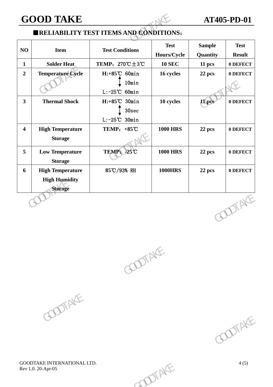## ■**RELIABILITY TEST ITEMS AND CONDITIONS**:

|                                                                   |                                                             |                            | <b>AT405-PD-01</b>                             |                              |  |
|-------------------------------------------------------------------|-------------------------------------------------------------|----------------------------|------------------------------------------------|------------------------------|--|
|                                                                   |                                                             |                            |                                                |                              |  |
| <b>Item</b>                                                       | <b>Test Conditions</b>                                      | <b>Test</b><br>Hours/Cycle | <b>Sample</b><br>Quantity                      | <b>Test</b><br><b>Result</b> |  |
| <b>Solder Heat</b>                                                | TEMP: $270^{\circ}\text{C} \pm 3^{\circ}\text{C}$           | <b>10 SEC</b>              | 11 pcs                                         | 0 DEFECT                     |  |
| <b>Temperature Cycle</b>                                          | H:+85°C 60min<br>10min<br>$L: -25^{\circ}\text{C}$ 60min    | 16 cycles                  | 22 pcs                                         | 0 DEFECT                     |  |
| <b>Thermal Shock</b>                                              | $H: +85^{\circ}C$ 30min<br>30sec<br>$L: -25^{\circ}C$ 30min | 10 cycles                  | 11 pcs                                         | 0 DEFECT                     |  |
| <b>High Temperature</b><br><b>Storage</b>                         | TEMP: $+85^{\circ}$ C                                       | <b>1000 HRS</b>            | 22 pcs                                         | 0 DEFECT                     |  |
| <b>Low Temperature</b><br><b>Storage</b>                          | TEMP: -25°C                                                 | <b>1000 HRS</b>            | 22 pcs                                         | 0 DEFECT                     |  |
| <b>High Temperature</b><br><b>High Humidity</b><br><b>Storage</b> | 85℃/93% RH                                                  | <b>1000HRS</b>             | 22 pcs                                         | 0 DEFECT                     |  |
|                                                                   |                                                             |                            |                                                | <b>DOTAKE</b>                |  |
|                                                                   |                                                             |                            | <b>ERELIABILITY TEST ITEMS AND CONDITIONS:</b> | <b>GOOD TAKE</b>             |  |